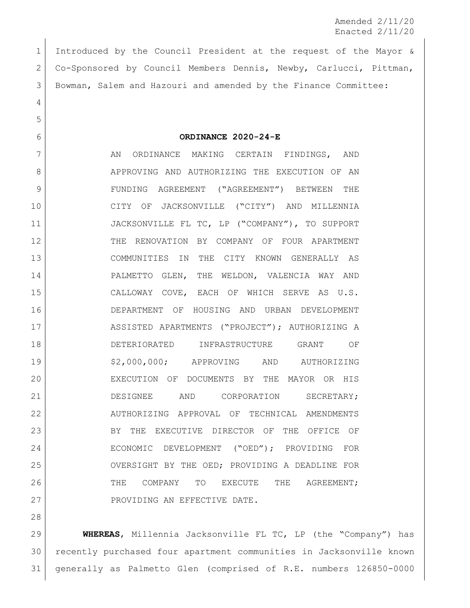Amended 2/11/20 Enacted 2/11/20

 Introduced by the Council President at the request of the Mayor & Co-Sponsored by Council Members Dennis, Newby, Carlucci, Pittman, Bowman, Salem and Hazouri and amended by the Finance Committee:

**ORDINANCE 2020-24-E**

7 AN ORDINANCE MAKING CERTAIN FINDINGS, AND 8 APPROVING AND AUTHORIZING THE EXECUTION OF AN FUNDING AGREEMENT ("AGREEMENT") BETWEEN THE CITY OF JACKSONVILLE ("CITY") AND MILLENNIA JACKSONVILLE FL TC, LP ("COMPANY"), TO SUPPORT THE RENOVATION BY COMPANY OF FOUR APARTMENT COMMUNITIES IN THE CITY KNOWN GENERALLY AS PALMETTO GLEN, THE WELDON, VALENCIA WAY AND CALLOWAY COVE, EACH OF WHICH SERVE AS U.S. DEPARTMENT OF HOUSING AND URBAN DEVELOPMENT ASSISTED APARTMENTS ("PROJECT"); AUTHORIZING A DETERIORATED INFRASTRUCTURE GRANT OF 19 \$2,000,000; APPROVING AND AUTHORIZING EXECUTION OF DOCUMENTS BY THE MAYOR OR HIS 21 DESIGNEE AND CORPORATION SECRETARY; AUTHORIZING APPROVAL OF TECHNICAL AMENDMENTS BY THE EXECUTIVE DIRECTOR OF THE OFFICE OF ECONOMIC DEVELOPMENT ("OED"); PROVIDING FOR OVERSIGHT BY THE OED; PROVIDING A DEADLINE FOR THE COMPANY TO EXECUTE THE AGREEMENT; 27 PROVIDING AN EFFECTIVE DATE.

 **WHEREAS**, Millennia Jacksonville FL TC, LP (the "Company") has recently purchased four apartment communities in Jacksonville known generally as Palmetto Glen (comprised of R.E. numbers 126850-0000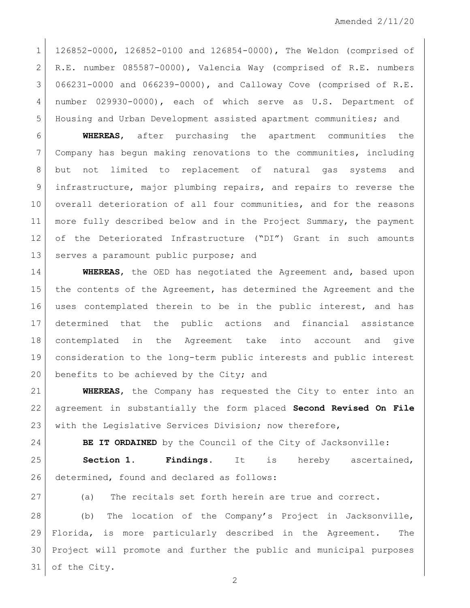126852-0000, 126852-0100 and 126854-0000), The Weldon (comprised of R.E. number 085587-0000), Valencia Way (comprised of R.E. numbers 066231-0000 and 066239-0000), and Calloway Cove (comprised of R.E. number 029930-0000), each of which serve as U.S. Department of Housing and Urban Development assisted apartment communities; and

 **WHEREAS**, after purchasing the apartment communities the Company has begun making renovations to the communities, including but not limited to replacement of natural gas systems and 9 infrastructure, major plumbing repairs, and repairs to reverse the overall deterioration of all four communities, and for the reasons more fully described below and in the Project Summary, the payment of the Deteriorated Infrastructure ("DI") Grant in such amounts 13 serves a paramount public purpose; and

 **WHEREAS**, the OED has negotiated the Agreement and, based upon the contents of the Agreement, has determined the Agreement and the uses contemplated therein to be in the public interest, and has determined that the public actions and financial assistance contemplated in the Agreement take into account and give consideration to the long-term public interests and public interest 20 benefits to be achieved by the City; and

 **WHEREAS**, the Company has requested the City to enter into an agreement in substantially the form placed **Second Revised On File** 23 with the Legislative Services Division; now therefore,

**BE IT ORDAINED** by the Council of the City of Jacksonville:

 **Section 1. Findings.** It is hereby ascertained, 26 determined, found and declared as follows:

27 (a) The recitals set forth herein are true and correct.

28 (b) The location of the Company's Project in Jacksonville, Florida, is more particularly described in the Agreement. The Project will promote and further the public and municipal purposes of the City.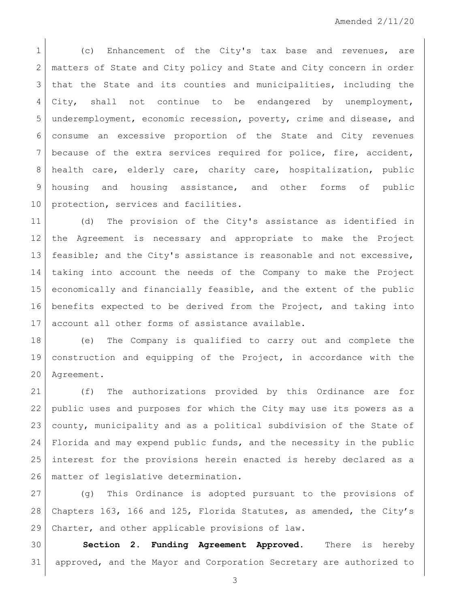1 (c) Enhancement of the City's tax base and revenues, are 2 matters of State and City policy and State and City concern in order 3 | that the State and its counties and municipalities, including the City, shall not continue to be endangered by unemployment, underemployment, economic recession, poverty, crime and disease, and consume an excessive proportion of the State and City revenues because of the extra services required for police, fire, accident, health care, elderly care, charity care, hospitalization, public 9 housing and housing assistance, and other forms of public 10 | protection, services and facilities.

 (d) The provision of the City's assistance as identified in the Agreement is necessary and appropriate to make the Project feasible; and the City's assistance is reasonable and not excessive, taking into account the needs of the Company to make the Project economically and financially feasible, and the extent of the public benefits expected to be derived from the Project, and taking into account all other forms of assistance available.

 (e) The Company is qualified to carry out and complete the construction and equipping of the Project, in accordance with the Agreement.

 (f) The authorizations provided by this Ordinance are for public uses and purposes for which the City may use its powers as a county, municipality and as a political subdivision of the State of Florida and may expend public funds, and the necessity in the public interest for the provisions herein enacted is hereby declared as a 26 | matter of legislative determination.

27 (g) This Ordinance is adopted pursuant to the provisions of Chapters 163, 166 and 125, Florida Statutes, as amended, the City's Charter, and other applicable provisions of law.

 **Section 2. Funding Agreement Approved**. There is hereby approved, and the Mayor and Corporation Secretary are authorized to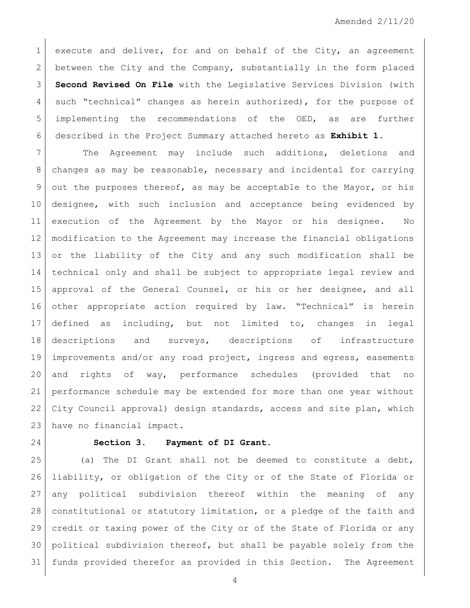1 execute and deliver, for and on behalf of the City, an agreement 2 between the City and the Company, substantially in the form placed **Second Revised On File** with the Legislative Services Division (with 4 such "technical" changes as herein authorized), for the purpose of implementing the recommendations of the OED, as are further described in the Project Summary attached hereto as **Exhibit 1**.

7 The Agreement may include such additions, deletions and changes as may be reasonable, necessary and incidental for carrying out the purposes thereof, as may be acceptable to the Mayor, or his designee, with such inclusion and acceptance being evidenced by execution of the Agreement by the Mayor or his designee. No modification to the Agreement may increase the financial obligations or the liability of the City and any such modification shall be technical only and shall be subject to appropriate legal review and approval of the General Counsel, or his or her designee, and all other appropriate action required by law. "Technical" is herein defined as including, but not limited to, changes in legal descriptions and surveys, descriptions of infrastructure improvements and/or any road project, ingress and egress, easements and rights of way, performance schedules (provided that no performance schedule may be extended for more than one year without City Council approval) design standards, access and site plan, which have no financial impact.

## **Section 3. Payment of DI Grant.**

 (a) The DI Grant shall not be deemed to constitute a debt, liability, or obligation of the City or of the State of Florida or any political subdivision thereof within the meaning of any constitutional or statutory limitation, or a pledge of the faith and credit or taxing power of the City or of the State of Florida or any political subdivision thereof, but shall be payable solely from the funds provided therefor as provided in this Section. The Agreement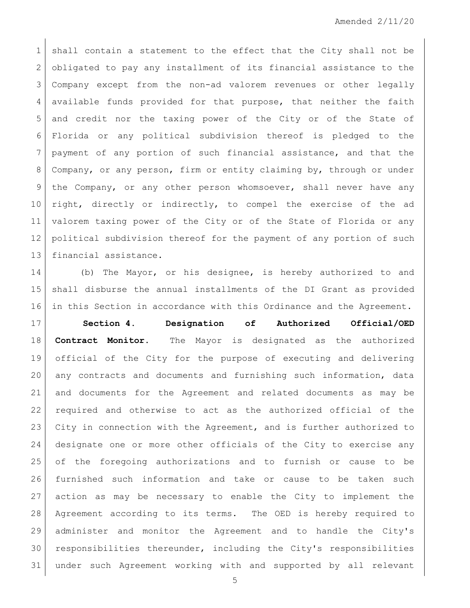1 shall contain a statement to the effect that the City shall not be 2 obligated to pay any installment of its financial assistance to the Company except from the non-ad valorem revenues or other legally available funds provided for that purpose, that neither the faith and credit nor the taxing power of the City or of the State of Florida or any political subdivision thereof is pledged to the payment of any portion of such financial assistance, and that the Company, or any person, firm or entity claiming by, through or under 9 | the Company, or any other person whomsoever, shall never have any 10 right, directly or indirectly, to compel the exercise of the ad valorem taxing power of the City or of the State of Florida or any political subdivision thereof for the payment of any portion of such financial assistance.

 (b) The Mayor, or his designee, is hereby authorized to and shall disburse the annual installments of the DI Grant as provided in this Section in accordance with this Ordinance and the Agreement.

 **Section 4. Designation of Authorized Official/OED Contract Monitor.** The Mayor is designated as the authorized official of the City for the purpose of executing and delivering 20 any contracts and documents and furnishing such information, data and documents for the Agreement and related documents as may be required and otherwise to act as the authorized official of the City in connection with the Agreement, and is further authorized to designate one or more other officials of the City to exercise any of the foregoing authorizations and to furnish or cause to be furnished such information and take or cause to be taken such action as may be necessary to enable the City to implement the Agreement according to its terms. The OED is hereby required to administer and monitor the Agreement and to handle the City's responsibilities thereunder, including the City's responsibilities under such Agreement working with and supported by all relevant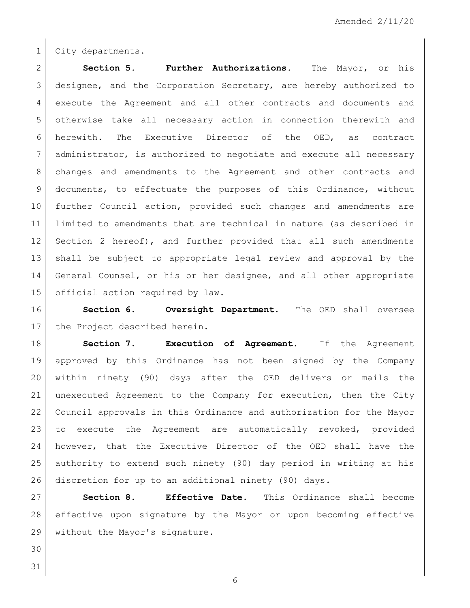1 City departments.

 **Section 5. Further Authorizations.** The Mayor, or his designee, and the Corporation Secretary, are hereby authorized to execute the Agreement and all other contracts and documents and otherwise take all necessary action in connection therewith and herewith. The Executive Director of the OED, as contract administrator, is authorized to negotiate and execute all necessary changes and amendments to the Agreement and other contracts and documents, to effectuate the purposes of this Ordinance, without further Council action, provided such changes and amendments are limited to amendments that are technical in nature (as described in 12 Section 2 hereof), and further provided that all such amendments shall be subject to appropriate legal review and approval by the General Counsel, or his or her designee, and all other appropriate 15 official action required by law.

 **Section 6. Oversight Department.** The OED shall oversee 17 the Project described herein.

 **Section 7**. **Execution of Agreement.** If the Agreement approved by this Ordinance has not been signed by the Company within ninety (90) days after the OED delivers or mails the unexecuted Agreement to the Company for execution, then the City Council approvals in this Ordinance and authorization for the Mayor to execute the Agreement are automatically revoked, provided however, that the Executive Director of the OED shall have the authority to extend such ninety (90) day period in writing at his discretion for up to an additional ninety (90) days.

 **Section 8. Effective Date.** This Ordinance shall become effective upon signature by the Mayor or upon becoming effective 29 without the Mayor's signature.